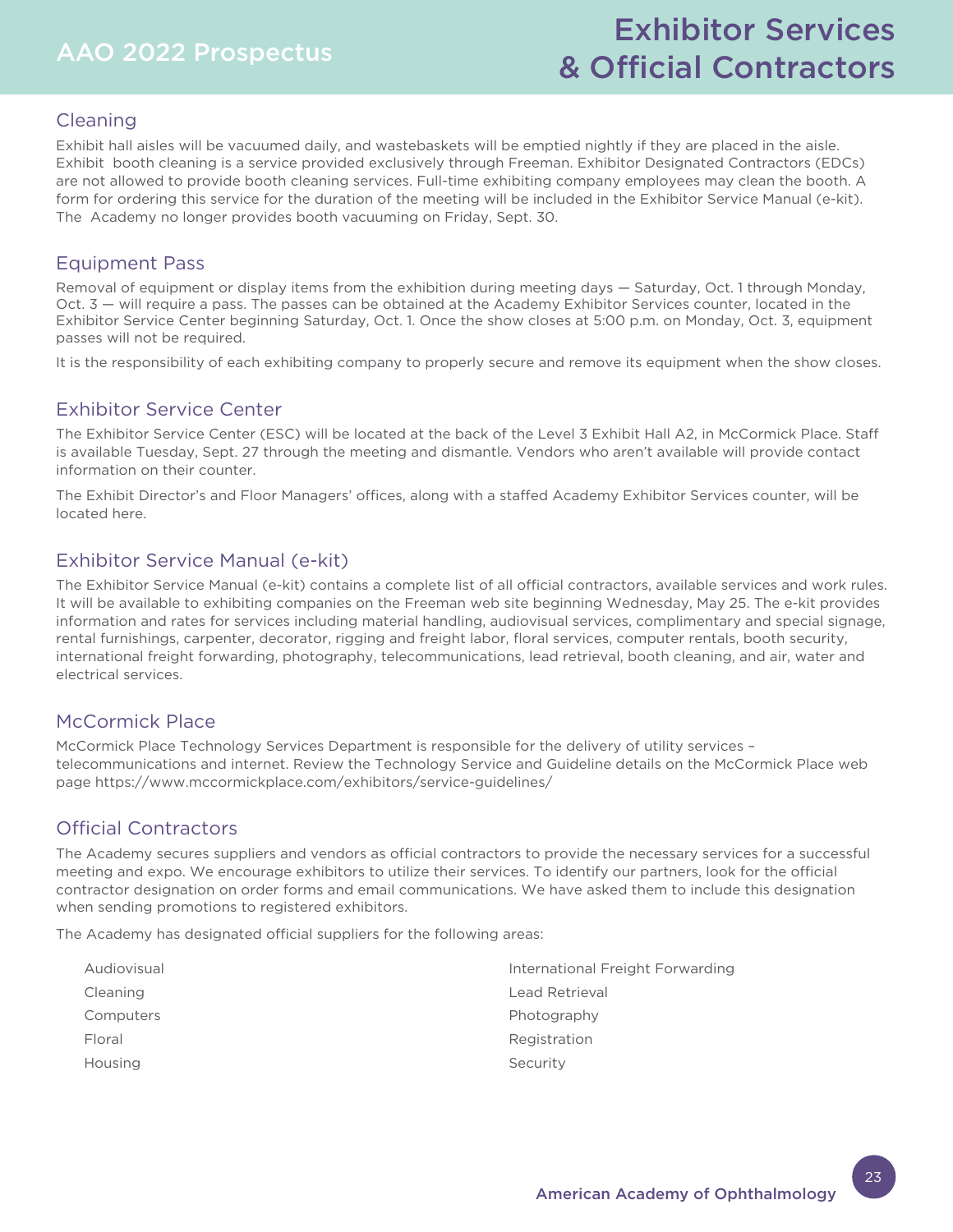# AAO 2022 Prospectus

# Exhibitor Services & Official Contractors

# Cleaning

Exhibit hall aisles will be vacuumed daily, and wastebaskets will be emptied nightly if they are placed in the aisle. Exhibit booth cleaning is a service provided exclusively through Freeman. Exhibitor Designated Contractors (EDCs) are not allowed to provide booth cleaning services. Full-time exhibiting company employees may clean the booth. A form for ordering this service for the duration of the meeting will be included in the Exhibitor Service Manual (e-kit). The Academy no longer provides booth vacuuming on Friday, Sept. 30.

# Equipment Pass

Removal of equipment or display items from the exhibition during meeting days — Saturday, Oct. 1 through Monday, Oct. 3 — will require a pass. The passes can be obtained at the Academy Exhibitor Services counter, located in the Exhibitor Service Center beginning Saturday, Oct. 1. Once the show closes at 5:00 p.m. on Monday, Oct. 3, equipment passes will not be required.

It is the responsibility of each exhibiting company to properly secure and remove its equipment when the show closes.

# Exhibitor Service Center

The Exhibitor Service Center (ESC) will be located at the back of the Level 3 Exhibit Hall A2, in McCormick Place. Staff is available Tuesday, Sept. 27 through the meeting and dismantle. Vendors who aren't available will provide contact information on their counter.

The Exhibit Director's and Floor Managers' offices, along with a staffed Academy Exhibitor Services counter, will be located here.

# Exhibitor Service Manual (e-kit)

The Exhibitor Service Manual (e-kit) contains a complete list of all official contractors, available services and work rules. It will be available to exhibiting companies on the Freeman web site beginning Wednesday, May 25. The e-kit provides information and rates for services including material handling, audiovisual services, complimentary and special signage, rental furnishings, carpenter, decorator, rigging and freight labor, floral services, computer rentals, booth security, international freight forwarding, photography, telecommunications, lead retrieval, booth cleaning, and air, water and electrical services.

## McCormick Place

McCormick Place Technology Services Department is responsible for the delivery of utility services – telecommunications and internet. Review the Technology Service and Guideline details on the McCormick Place web page https://www.mccormickplace.com/exhibitors/service-guidelines/

# Official Contractors

The Academy secures suppliers and vendors as official contractors to provide the necessary services for a successful meeting and expo. We encourage exhibitors to utilize their services. To identify our partners, look for the official contractor designation on order forms and email communications. We have asked them to include this designation when sending promotions to registered exhibitors.

The Academy has designated official suppliers for the following areas:

| Audiovisual | International Freight Forwarding |
|-------------|----------------------------------|
| Cleaning    | Lead Retrieval                   |
| Computers   | Photography                      |
| Floral      | Registration                     |
| Housing     | Security                         |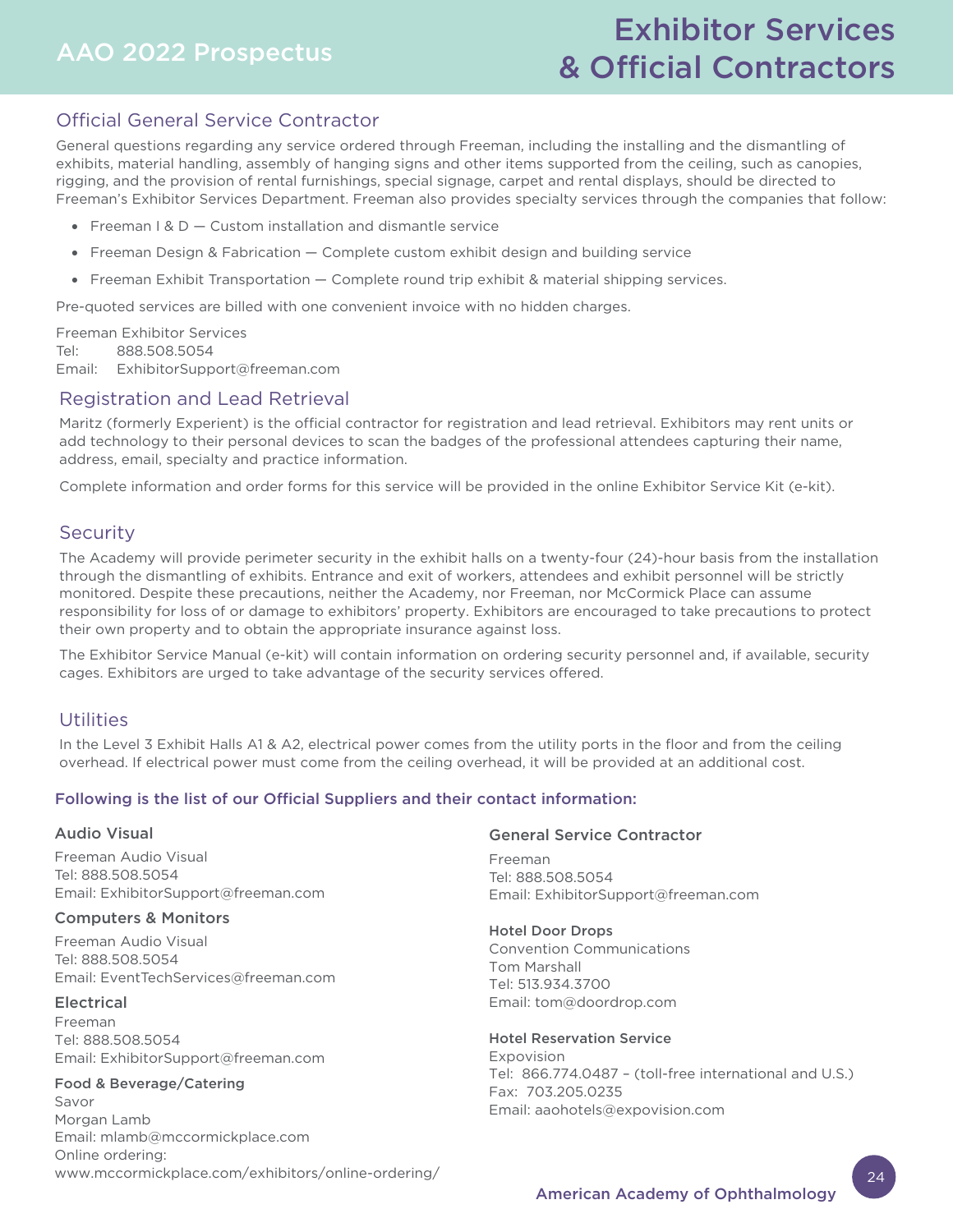# AAO 2022 Prospectus

# Exhibitor Services & Official Contractors

# Official General Service Contractor

General questions regarding any service ordered through Freeman, including the installing and the dismantling of exhibits, material handling, assembly of hanging signs and other items supported from the ceiling, such as canopies, rigging, and the provision of rental furnishings, special signage, carpet and rental displays, should be directed to Freeman's Exhibitor Services Department. Freeman also provides specialty services through the companies that follow:

- Freeman  $1 & D -$  Custom installation and dismantle service
- Freeman Design & Fabrication Complete custom exhibit design and building service
- Freeman Exhibit Transportation Complete round trip exhibit & material shipping services.

Pre-quoted services are billed with one convenient invoice with no hidden charges.

Freeman Exhibitor Services Tel: 888.508.5054 Email: ExhibitorSupport@freeman.com

### Registration and Lead Retrieval

Maritz (formerly Experient) is the official contractor for registration and lead retrieval. Exhibitors may rent units or add technology to their personal devices to scan the badges of the professional attendees capturing their name, address, email, specialty and practice information.

Complete information and order forms for this service will be provided in the online Exhibitor Service Kit (e-kit).

### **Security**

The Academy will provide perimeter security in the exhibit halls on a twenty-four (24)-hour basis from the installation through the dismantling of exhibits. Entrance and exit of workers, attendees and exhibit personnel will be strictly monitored. Despite these precautions, neither the Academy, nor Freeman, nor McCormick Place can assume responsibility for loss of or damage to exhibitors' property. Exhibitors are encouraged to take precautions to protect their own property and to obtain the appropriate insurance against loss.

The Exhibitor Service Manual (e-kit) will contain information on ordering security personnel and, if available, security cages. Exhibitors are urged to take advantage of the security services offered.

### Utilities

In the Level 3 Exhibit Halls A1 & A2, electrical power comes from the utility ports in the floor and from the ceiling overhead. If electrical power must come from the ceiling overhead, it will be provided at an additional cost.

#### Following is the list of our Official Suppliers and their contact information:

#### Audio Visual

Freeman Audio Visual Tel: 888.508.5054 Email: ExhibitorSupport@freeman.com

#### Computers & Monitors

Freeman Audio Visual Tel: 888.508.5054 Email: EventTechServices@freeman.com

#### Electrical

Freeman Tel: 888.508.5054 [Email: ExhibitorSupport@freeman.com](https://www.mccormickplace.com/exhibitors/online-ordering/)

#### Food & Beverage/Catering

Savor Morgan Lamb Email: mlamb@mccormickplace.com Online ordering: www.mccormickplace.com/exhibitors/online-ordering/

#### General Service Contractor

Freeman Tel: 888.508.5054 Email: ExhibitorSupport@freeman.com

#### Hotel Door Drops

Convention Communications Tom Marshall Tel: 513.934.3700 Email: tom@doordrop.com

#### Hotel Reservation Service

Expovision Tel: 866.774.0487 – (toll-free international and U.S.) Fax: 703.205.0235 Email: aaohotels@expovision.com